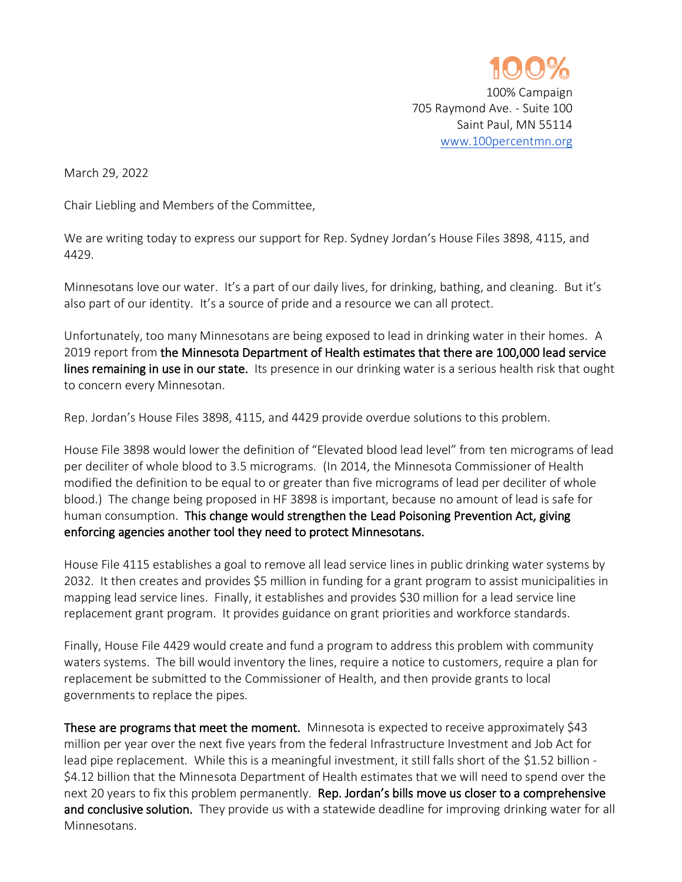

100% Campaign 705 Raymond Ave. - Suite 100 Saint Paul, MN 55114 [www.100percentmn.org](http://www.100percentmn.org/)

March 29, 2022

Chair Liebling and Members of the Committee,

We are writing today to express our support for Rep. Sydney Jordan's House Files 3898, 4115, and 4429.

Minnesotans love our water. It's a part of our daily lives, for drinking, bathing, and cleaning. But it's also part of our identity. It's a source of pride and a resource we can all protect.

Unfortunately, too many Minnesotans are being exposed to lead in drinking water in their homes. A 2019 report from the Minnesota Department of Health estimates that there are 100,000 lead service lines remaining in use in our state. Its presence in our drinking water is a serious health risk that ought to concern every Minnesotan.

Rep. Jordan's House Files 3898, 4115, and 4429 provide overdue solutions to this problem.

House File 3898 would lower the definition of "Elevated blood lead level" from ten micrograms of lead per deciliter of whole blood to 3.5 micrograms. (In 2014, the Minnesota Commissioner of Health modified the definition to be equal to or greater than five micrograms of lead per deciliter of whole blood.) The change being proposed in HF 3898 is important, because no amount of lead is safe for human consumption. This change would strengthen the Lead Poisoning Prevention Act, giving enforcing agencies another tool they need to protect Minnesotans.

House File 4115 establishes a goal to remove all lead service lines in public drinking water systems by 2032. It then creates and provides \$5 million in funding for a grant program to assist municipalities in mapping lead service lines. Finally, it establishes and provides \$30 million for a lead service line replacement grant program. It provides guidance on grant priorities and workforce standards.

Finally, House File 4429 would create and fund a program to address this problem with community waters systems. The bill would inventory the lines, require a notice to customers, require a plan for replacement be submitted to the Commissioner of Health, and then provide grants to local governments to replace the pipes.

These are programs that meet the moment. Minnesota is expected to receive approximately \$43 million per year over the next five years from the federal Infrastructure Investment and Job Act for lead pipe replacement. While this is a meaningful investment, it still falls short of the \$1.52 billion -\$4.12 billion that the Minnesota Department of Health estimates that we will need to spend over the next 20 years to fix this problem permanently. Rep. Jordan's bills move us closer to a comprehensive and conclusive solution. They provide us with a statewide deadline for improving drinking water for all Minnesotans.